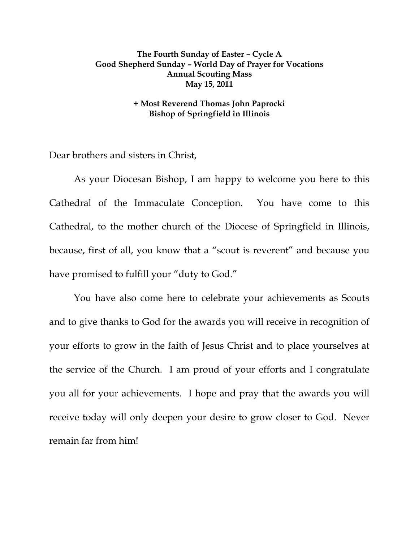## **The Fourth Sunday of Easter – Cycle A Good Shepherd Sunday – World Day of Prayer for Vocations Annual Scouting Mass May 15, 2011**

## **+ Most Reverend Thomas John Paprocki Bishop of Springfield in Illinois**

Dear brothers and sisters in Christ,

 As your Diocesan Bishop, I am happy to welcome you here to this Cathedral of the Immaculate Conception. You have come to this Cathedral, to the mother church of the Diocese of Springfield in Illinois, because, first of all, you know that a "scout is reverent" and because you have promised to fulfill your "duty to God."

You have also come here to celebrate your achievements as Scouts and to give thanks to God for the awards you will receive in recognition of your efforts to grow in the faith of Jesus Christ and to place yourselves at the service of the Church. I am proud of your efforts and I congratulate you all for your achievements. I hope and pray that the awards you will receive today will only deepen your desire to grow closer to God. Never remain far from him!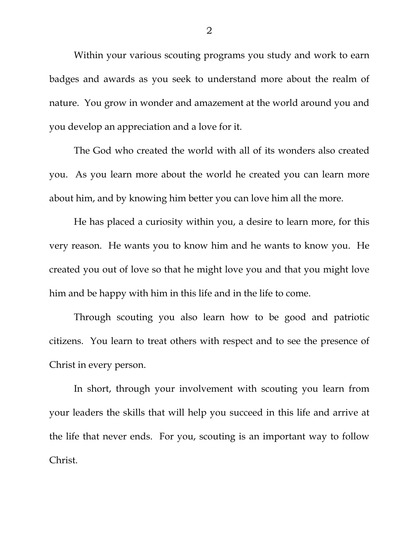Within your various scouting programs you study and work to earn badges and awards as you seek to understand more about the realm of nature. You grow in wonder and amazement at the world around you and you develop an appreciation and a love for it.

The God who created the world with all of its wonders also created you. As you learn more about the world he created you can learn more about him, and by knowing him better you can love him all the more.

He has placed a curiosity within you, a desire to learn more, for this very reason. He wants you to know him and he wants to know you. He created you out of love so that he might love you and that you might love him and be happy with him in this life and in the life to come.

Through scouting you also learn how to be good and patriotic citizens. You learn to treat others with respect and to see the presence of Christ in every person.

In short, through your involvement with scouting you learn from your leaders the skills that will help you succeed in this life and arrive at the life that never ends. For you, scouting is an important way to follow Christ.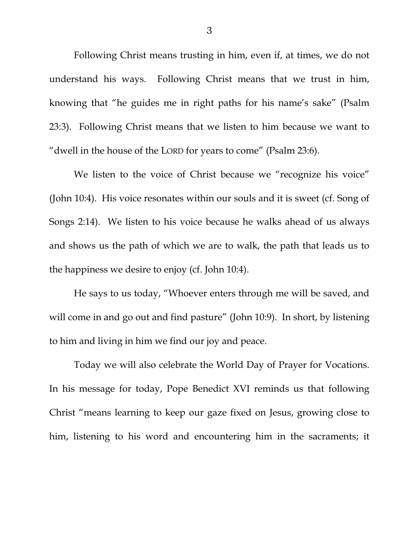Following Christ means trusting in him, even if, at times, we do not understand his ways. Following Christ means that we trust in him, knowing that "he guides me in right paths for his name's sake" (Psalm 23:3). Following Christ means that we listen to him because we want to "dwell in the house of the LORD for years to come" (Psalm 23:6).

 We listen to the voice of Christ because we "recognize his voice" (John 10:4). His voice resonates within our souls and it is sweet (cf. Song of Songs 2:14). We listen to his voice because he walks ahead of us always and shows us the path of which we are to walk, the path that leads us to the happiness we desire to enjoy (cf. John 10:4).

 He says to us today, "Whoever enters through me will be saved, and will come in and go out and find pasture" (John 10:9). In short, by listening to him and living in him we find our joy and peace.

Today we will also celebrate the World Day of Prayer for Vocations. In his message for today, Pope Benedict XVI reminds us that following Christ "means learning to keep our gaze fixed on Jesus, growing close to him, listening to his word and encountering him in the sacraments; it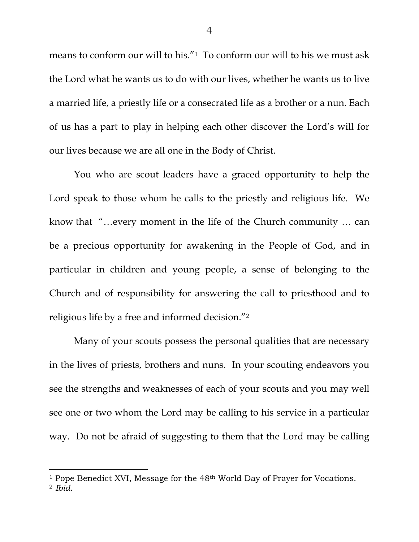means to conform our will to his."1 To conform our will to his we must ask the Lord what he wants us to do with our lives, whether he wants us to live a married life, a priestly life or a consecrated life as a brother or a nun. Each of us has a part to play in helping each other discover the Lord's will for our lives because we are all one in the Body of Christ.

You who are scout leaders have a graced opportunity to help the Lord speak to those whom he calls to the priestly and religious life. We know that "…every moment in the life of the Church community … can be a precious opportunity for awakening in the People of God, and in particular in children and young people, a sense of belonging to the Church and of responsibility for answering the call to priesthood and to religious life by a free and informed decision."2

Many of your scouts possess the personal qualities that are necessary in the lives of priests, brothers and nuns. In your scouting endeavors you see the strengths and weaknesses of each of your scouts and you may well see one or two whom the Lord may be calling to his service in a particular way. Do not be afraid of suggesting to them that the Lord may be calling

 $\overline{a}$ 

<sup>&</sup>lt;sup>1</sup> Pope Benedict XVI, Message for the 48<sup>th</sup> World Day of Prayer for Vocations. <sup>2</sup> *Ibid*.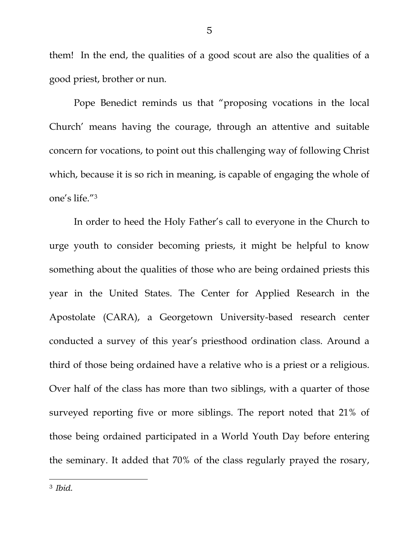them! In the end, the qualities of a good scout are also the qualities of a good priest, brother or nun.

Pope Benedict reminds us that "proposing vocations in the local Church' means having the courage, through an attentive and suitable concern for vocations, to point out this challenging way of following Christ which, because it is so rich in meaning, is capable of engaging the whole of one's life."3

In order to heed the Holy Father's call to everyone in the Church to urge youth to consider becoming priests, it might be helpful to know something about the qualities of those who are being ordained priests this year in the United States. The Center for Applied Research in the Apostolate (CARA), a Georgetown University-based research center conducted a survey of this year's priesthood ordination class. Around a third of those being ordained have a relative who is a priest or a religious. Over half of the class has more than two siblings, with a quarter of those surveyed reporting five or more siblings. The report noted that 21% of those being ordained participated in a World Youth Day before entering the seminary. It added that 70% of the class regularly prayed the rosary,

 $\overline{a}$ 

<sup>3</sup> *Ibid*.